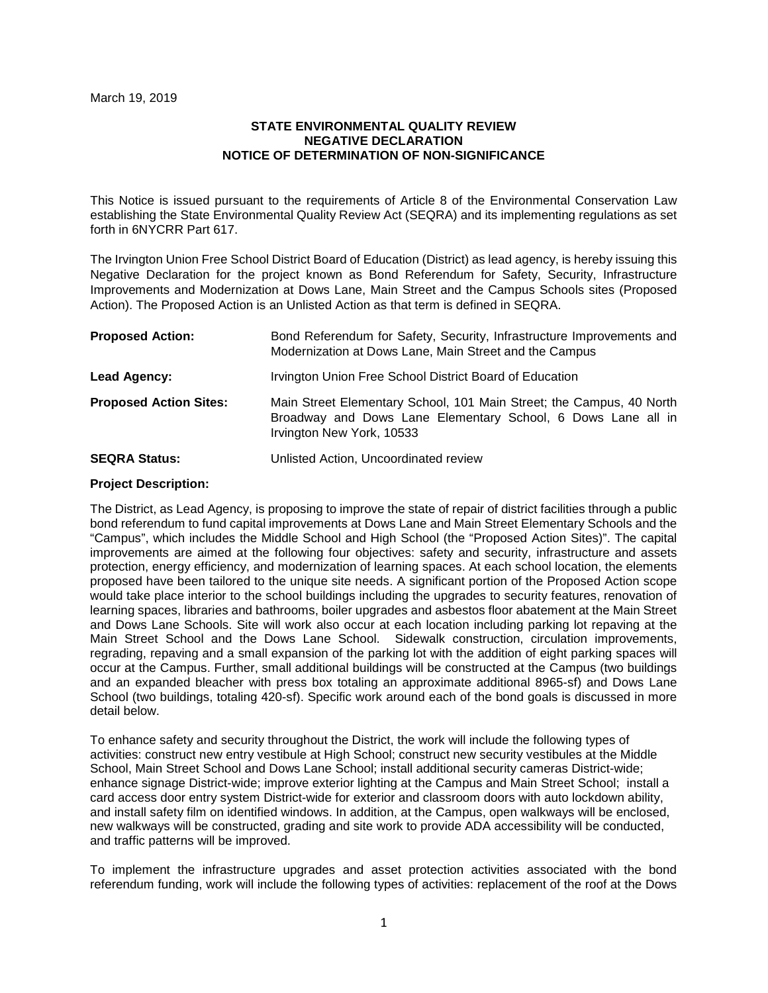#### March 19, 2019

## **STATE ENVIRONMENTAL QUALITY REVIEW NEGATIVE DECLARATION NOTICE OF DETERMINATION OF NON-SIGNIFICANCE**

This Notice is issued pursuant to the requirements of Article 8 of the Environmental Conservation Law establishing the State Environmental Quality Review Act (SEQRA) and its implementing regulations as set forth in 6NYCRR Part 617.

The Irvington Union Free School District Board of Education (District) as lead agency, is hereby issuing this Negative Declaration for the project known as Bond Referendum for Safety, Security, Infrastructure Improvements and Modernization at Dows Lane, Main Street and the Campus Schools sites (Proposed Action). The Proposed Action is an Unlisted Action as that term is defined in SEQRA.

| <b>Proposed Action:</b>       | Bond Referendum for Safety, Security, Infrastructure Improvements and<br>Modernization at Dows Lane, Main Street and the Campus                                   |
|-------------------------------|-------------------------------------------------------------------------------------------------------------------------------------------------------------------|
| Lead Agency:                  | Irvington Union Free School District Board of Education                                                                                                           |
| <b>Proposed Action Sites:</b> | Main Street Elementary School, 101 Main Street; the Campus, 40 North<br>Broadway and Dows Lane Elementary School, 6 Dows Lane all in<br>Irvington New York, 10533 |
| <b>SEQRA Status:</b>          | Unlisted Action, Uncoordinated review                                                                                                                             |

## **Project Description:**

The District, as Lead Agency, is proposing to improve the state of repair of district facilities through a public bond referendum to fund capital improvements at Dows Lane and Main Street Elementary Schools and the "Campus", which includes the Middle School and High School (the "Proposed Action Sites)". The capital improvements are aimed at the following four objectives: safety and security, infrastructure and assets protection, energy efficiency, and modernization of learning spaces. At each school location, the elements proposed have been tailored to the unique site needs. A significant portion of the Proposed Action scope would take place interior to the school buildings including the upgrades to security features, renovation of learning spaces, libraries and bathrooms, boiler upgrades and asbestos floor abatement at the Main Street and Dows Lane Schools. Site will work also occur at each location including parking lot repaving at the Main Street School and the Dows Lane School. Sidewalk construction, circulation improvements, regrading, repaving and a small expansion of the parking lot with the addition of eight parking spaces will occur at the Campus. Further, small additional buildings will be constructed at the Campus (two buildings and an expanded bleacher with press box totaling an approximate additional 8965-sf) and Dows Lane School (two buildings, totaling 420-sf). Specific work around each of the bond goals is discussed in more detail below.

To enhance safety and security throughout the District, the work will include the following types of activities: construct new entry vestibule at High School; construct new security vestibules at the Middle School, Main Street School and Dows Lane School; install additional security cameras District-wide; enhance signage District-wide; improve exterior lighting at the Campus and Main Street School; install a card access door entry system District-wide for exterior and classroom doors with auto lockdown ability, and install safety film on identified windows. In addition, at the Campus, open walkways will be enclosed, new walkways will be constructed, grading and site work to provide ADA accessibility will be conducted, and traffic patterns will be improved.

To implement the infrastructure upgrades and asset protection activities associated with the bond referendum funding, work will include the following types of activities: replacement of the roof at the Dows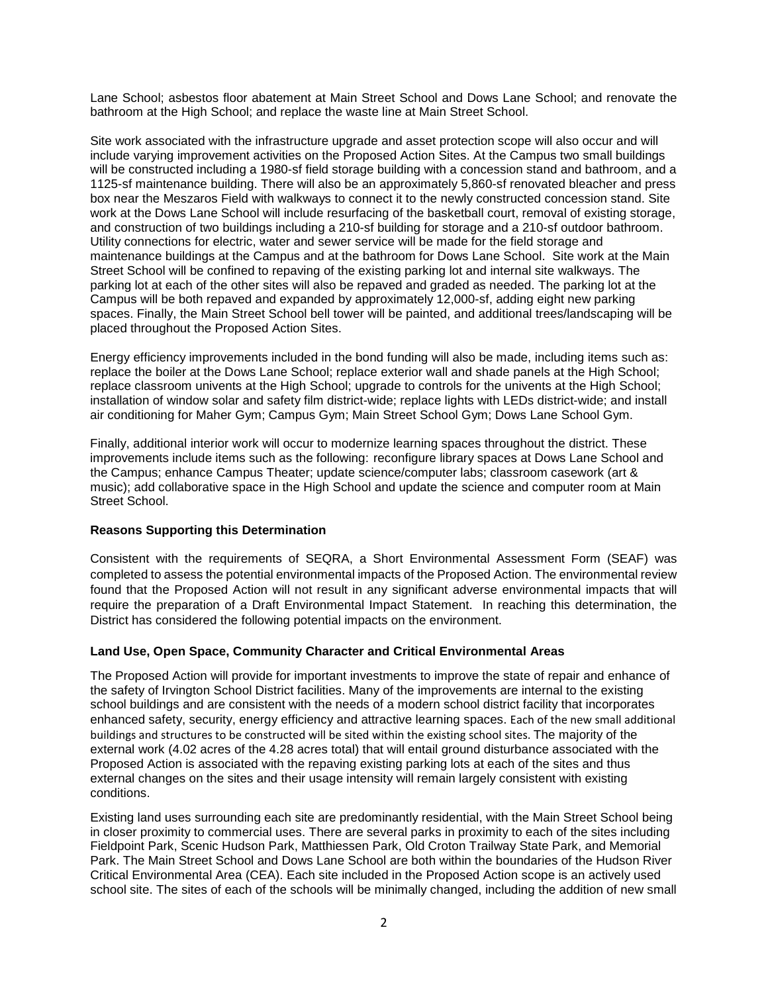Lane School; asbestos floor abatement at Main Street School and Dows Lane School; and renovate the bathroom at the High School; and replace the waste line at Main Street School.

Site work associated with the infrastructure upgrade and asset protection scope will also occur and will include varying improvement activities on the Proposed Action Sites. At the Campus two small buildings will be constructed including a 1980-sf field storage building with a concession stand and bathroom, and a 1125-sf maintenance building. There will also be an approximately 5,860-sf renovated bleacher and press box near the Meszaros Field with walkways to connect it to the newly constructed concession stand. Site work at the Dows Lane School will include resurfacing of the basketball court, removal of existing storage, and construction of two buildings including a 210-sf building for storage and a 210-sf outdoor bathroom. Utility connections for electric, water and sewer service will be made for the field storage and maintenance buildings at the Campus and at the bathroom for Dows Lane School. Site work at the Main Street School will be confined to repaving of the existing parking lot and internal site walkways. The parking lot at each of the other sites will also be repaved and graded as needed. The parking lot at the Campus will be both repaved and expanded by approximately 12,000-sf, adding eight new parking spaces. Finally, the Main Street School bell tower will be painted, and additional trees/landscaping will be placed throughout the Proposed Action Sites.

Energy efficiency improvements included in the bond funding will also be made, including items such as: replace the boiler at the Dows Lane School; replace exterior wall and shade panels at the High School; replace classroom univents at the High School; upgrade to controls for the univents at the High School; installation of window solar and safety film district-wide; replace lights with LEDs district-wide; and install air conditioning for Maher Gym; Campus Gym; Main Street School Gym; Dows Lane School Gym.

Finally, additional interior work will occur to modernize learning spaces throughout the district. These improvements include items such as the following: reconfigure library spaces at Dows Lane School and the Campus; enhance Campus Theater; update science/computer labs; classroom casework (art & music); add collaborative space in the High School and update the science and computer room at Main Street School.

### **Reasons Supporting this Determination**

Consistent with the requirements of SEQRA, a Short Environmental Assessment Form (SEAF) was completed to assess the potential environmental impacts of the Proposed Action. The environmental review found that the Proposed Action will not result in any significant adverse environmental impacts that will require the preparation of a Draft Environmental Impact Statement. In reaching this determination, the District has considered the following potential impacts on the environment.

#### **Land Use, Open Space, Community Character and Critical Environmental Areas**

The Proposed Action will provide for important investments to improve the state of repair and enhance of the safety of Irvington School District facilities. Many of the improvements are internal to the existing school buildings and are consistent with the needs of a modern school district facility that incorporates enhanced safety, security, energy efficiency and attractive learning spaces. Each of the new small additional buildings and structures to be constructed will be sited within the existing school sites. The majority of the external work (4.02 acres of the 4.28 acres total) that will entail ground disturbance associated with the Proposed Action is associated with the repaving existing parking lots at each of the sites and thus external changes on the sites and their usage intensity will remain largely consistent with existing conditions.

Existing land uses surrounding each site are predominantly residential, with the Main Street School being in closer proximity to commercial uses. There are several parks in proximity to each of the sites including Fieldpoint Park, Scenic Hudson Park, Matthiessen Park, Old Croton Trailway State Park, and Memorial Park. The Main Street School and Dows Lane School are both within the boundaries of the Hudson River Critical Environmental Area (CEA). Each site included in the Proposed Action scope is an actively used school site. The sites of each of the schools will be minimally changed, including the addition of new small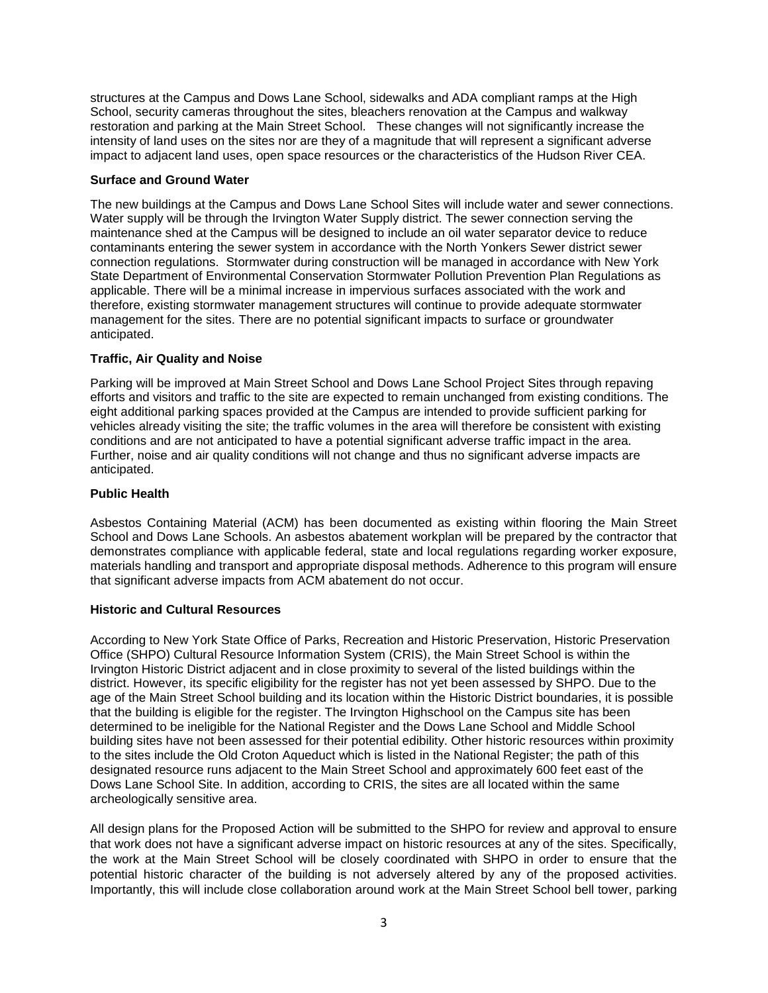structures at the Campus and Dows Lane School, sidewalks and ADA compliant ramps at the High School, security cameras throughout the sites, bleachers renovation at the Campus and walkway restoration and parking at the Main Street School. These changes will not significantly increase the intensity of land uses on the sites nor are they of a magnitude that will represent a significant adverse impact to adjacent land uses, open space resources or the characteristics of the Hudson River CEA.

## **Surface and Ground Water**

The new buildings at the Campus and Dows Lane School Sites will include water and sewer connections. Water supply will be through the Irvington Water Supply district. The sewer connection serving the maintenance shed at the Campus will be designed to include an oil water separator device to reduce contaminants entering the sewer system in accordance with the North Yonkers Sewer district sewer connection regulations. Stormwater during construction will be managed in accordance with New York State Department of Environmental Conservation Stormwater Pollution Prevention Plan Regulations as applicable. There will be a minimal increase in impervious surfaces associated with the work and therefore, existing stormwater management structures will continue to provide adequate stormwater management for the sites. There are no potential significant impacts to surface or groundwater anticipated.

# **Traffic, Air Quality and Noise**

Parking will be improved at Main Street School and Dows Lane School Project Sites through repaving efforts and visitors and traffic to the site are expected to remain unchanged from existing conditions. The eight additional parking spaces provided at the Campus are intended to provide sufficient parking for vehicles already visiting the site; the traffic volumes in the area will therefore be consistent with existing conditions and are not anticipated to have a potential significant adverse traffic impact in the area. Further, noise and air quality conditions will not change and thus no significant adverse impacts are anticipated.

### **Public Health**

Asbestos Containing Material (ACM) has been documented as existing within flooring the Main Street School and Dows Lane Schools. An asbestos abatement workplan will be prepared by the contractor that demonstrates compliance with applicable federal, state and local regulations regarding worker exposure, materials handling and transport and appropriate disposal methods. Adherence to this program will ensure that significant adverse impacts from ACM abatement do not occur.

#### **Historic and Cultural Resources**

According to New York State Office of Parks, Recreation and Historic Preservation, Historic Preservation Office (SHPO) Cultural Resource Information System (CRIS), the Main Street School is within the Irvington Historic District adjacent and in close proximity to several of the listed buildings within the district. However, its specific eligibility for the register has not yet been assessed by SHPO. Due to the age of the Main Street School building and its location within the Historic District boundaries, it is possible that the building is eligible for the register. The Irvington Highschool on the Campus site has been determined to be ineligible for the National Register and the Dows Lane School and Middle School building sites have not been assessed for their potential edibility. Other historic resources within proximity to the sites include the Old Croton Aqueduct which is listed in the National Register; the path of this designated resource runs adjacent to the Main Street School and approximately 600 feet east of the Dows Lane School Site. In addition, according to CRIS, the sites are all located within the same archeologically sensitive area.

All design plans for the Proposed Action will be submitted to the SHPO for review and approval to ensure that work does not have a significant adverse impact on historic resources at any of the sites. Specifically, the work at the Main Street School will be closely coordinated with SHPO in order to ensure that the potential historic character of the building is not adversely altered by any of the proposed activities. Importantly, this will include close collaboration around work at the Main Street School bell tower, parking